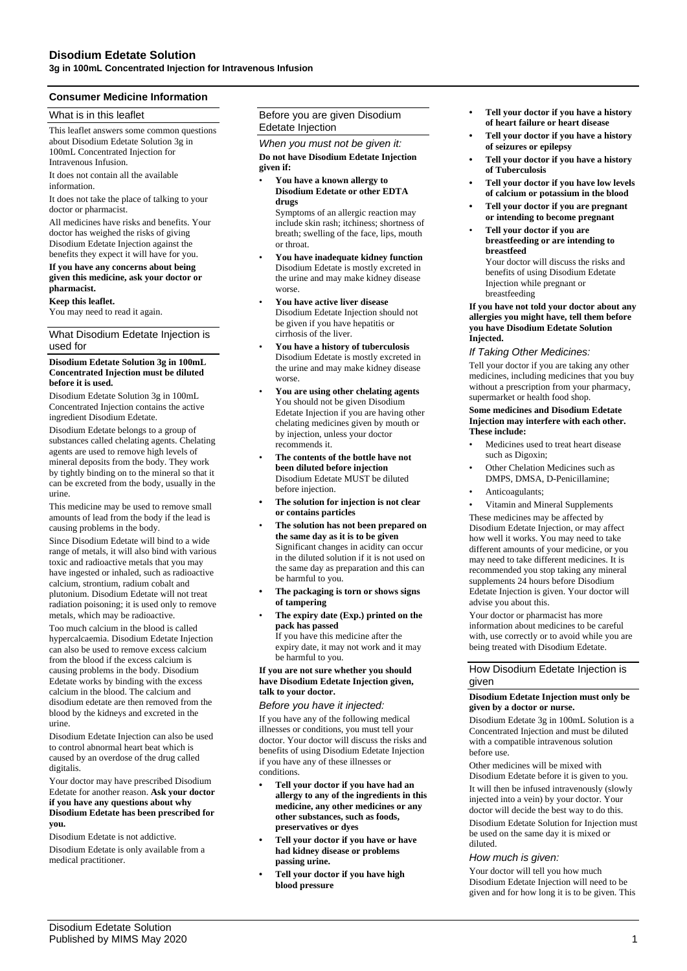### **Consumer Medicine Information**

### What is in this leaflet

This leaflet answers some common questions about Disodium Edetate Solution 3g in 100mL Concentrated Injection for Intravenous Infusion.

It does not contain all the available information.

It does not take the place of talking to your doctor or pharmacist.

All medicines have risks and benefits. Your doctor has weighed the risks of giving Disodium Edetate Injection against the benefits they expect it will have for you.

### **If you have any concerns about being given this medicine, ask your doctor or pharmacist.**

#### **Keep this leaflet.**

You may need to read it again.

### What Disodium Edetate Injection is used for

### **Disodium Edetate Solution 3g in 100mL Concentrated Injection must be diluted before it is used.**

Disodium Edetate Solution 3g in 100mL Concentrated Injection contains the active ingredient Disodium Edetate.

Disodium Edetate belongs to a group of substances called chelating agents. Chelating agents are used to remove high levels of mineral deposits from the body. They work by tightly binding on to the mineral so that it can be excreted from the body, usually in the urine.

This medicine may be used to remove small amounts of lead from the body if the lead is causing problems in the body.

Since Disodium Edetate will bind to a wide range of metals, it will also bind with various toxic and radioactive metals that you may have ingested or inhaled, such as radioactive calcium, strontium, radium cobalt and plutonium. Disodium Edetate will not treat radiation poisoning; it is used only to remove metals, which may be radioactive.

Too much calcium in the blood is called hypercalcaemia. Disodium Edetate Injection can also be used to remove excess calcium from the blood if the excess calcium is causing problems in the body. Disodium Edetate works by binding with the excess calcium in the blood. The calcium and disodium edetate are then removed from the blood by the kidneys and excreted in the urine.

Disodium Edetate Injection can also be used to control abnormal heart beat which is caused by an overdose of the drug called digitalis.

Your doctor may have prescribed Disodium Edetate for another reason. **Ask your doctor if you have any questions about why Disodium Edetate has been prescribed for you.**

Disodium Edetate is not addictive.

Disodium Edetate is only available from a medical practitioner.

### Before you are given Disodium Edetate Injection

*When you must not be given it:* **Do not have Disodium Edetate Injection** 

### **given if:**

• **You have a known allergy to Disodium Edetate or other EDTA drugs** Symptoms of an allergic reaction may

include skin rash; itchiness; shortness of breath; swelling of the face, lips, mouth or throat.

- **You have inadequate kidney function** Disodium Edetate is mostly excreted in the urine and may make kidney disease worse.
- **You have active liver disease** Disodium Edetate Injection should not be given if you have hepatitis or cirrhosis of the liver.
- **You have a history of tuberculosis** Disodium Edetate is mostly excreted in the urine and may make kidney disease worse.
- **You are using other chelating agents** You should not be given Disodium Edetate Injection if you are having other chelating medicines given by mouth or by injection, unless your doctor recommends it.
- **The contents of the bottle have not been diluted before injection** Disodium Edetate MUST be diluted before injection.
- **• The solution for injection is not clear or contains particles**
- **The solution has not been prepared on the same day as it is to be given** Significant changes in acidity can occur in the diluted solution if it is not used on the same day as preparation and this can be harmful to you.
- **• The packaging is torn or shows signs of tampering**
- **The expiry date (Exp.) printed on the pack has passed** If you have this medicine after the

expiry date, it may not work and it may be harmful to you.

### **If you are not sure whether you should have Disodium Edetate Injection given, talk to your doctor.**

### *Before you have it injected:*

If you have any of the following medical illnesses or conditions, you must tell your doctor. Your doctor will discuss the risks and benefits of using Disodium Edetate Injection if you have any of these illnesses or conditions.

- **• Tell your doctor if you have had an allergy to any of the ingredients in this medicine, any other medicines or any other substances, such as foods, preservatives or dyes**
- **• Tell your doctor if you have or have had kidney disease or problems passing urine.**
- **• Tell your doctor if you have high blood pressure**
- **• Tell your doctor if you have a history of heart failure or heart disease**
- **• Tell your doctor if you have a history of seizures or epilepsy**
- **• Tell your doctor if you have a history of Tuberculosis**
- **• Tell your doctor if you have low levels of calcium or potassium in the blood**
- **• Tell your doctor if you are pregnant or intending to become pregnant**
- **Tell your doctor if you are breastfeeding or are intending to breastfeed** Your doctor will discuss the risks and

benefits of using Disodium Edetate Injection while pregnant or breastfeeding

**If you have not told your doctor about any allergies you might have, tell them before you have Disodium Edetate Solution Injected.**

### *If Taking Other Medicines:*

Tell your doctor if you are taking any other medicines, including medicines that you buy without a prescription from your pharmacy, supermarket or health food shop.

### **Some medicines and Disodium Edetate Injection may interfere with each other. These include:**

- Medicines used to treat heart disease such as Digoxin:
- Other Chelation Medicines such as DMPS, DMSA, D-Penicillamine;
- Anticoagulants;

• Vitamin and Mineral Supplements

These medicines may be affected by Disodium Edetate Injection, or may affect how well it works. You may need to take different amounts of your medicine, or you may need to take different medicines. It is recommended you stop taking any mineral supplements 24 hours before Disodium Edetate Injection is given. Your doctor will advise you about this.

Your doctor or pharmacist has more information about medicines to be careful with, use correctly or to avoid while you are being treated with Disodium Edetate.

### How Disodium Edetate Injection is given

### **Disodium Edetate Injection must only be given by a doctor or nurse.**

Disodium Edetate 3g in 100mL Solution is a Concentrated Injection and must be diluted with a compatible intravenous solution before use.

Other medicines will be mixed with Disodium Edetate before it is given to you. It will then be infused intravenously (slowly injected into a vein) by your doctor. Your doctor will decide the best way to do this. Disodium Edetate Solution for Injection must be used on the same day it is mixed or diluted.

### *How much is given:*

Your doctor will tell you how much Disodium Edetate Injection will need to be given and for how long it is to be given. This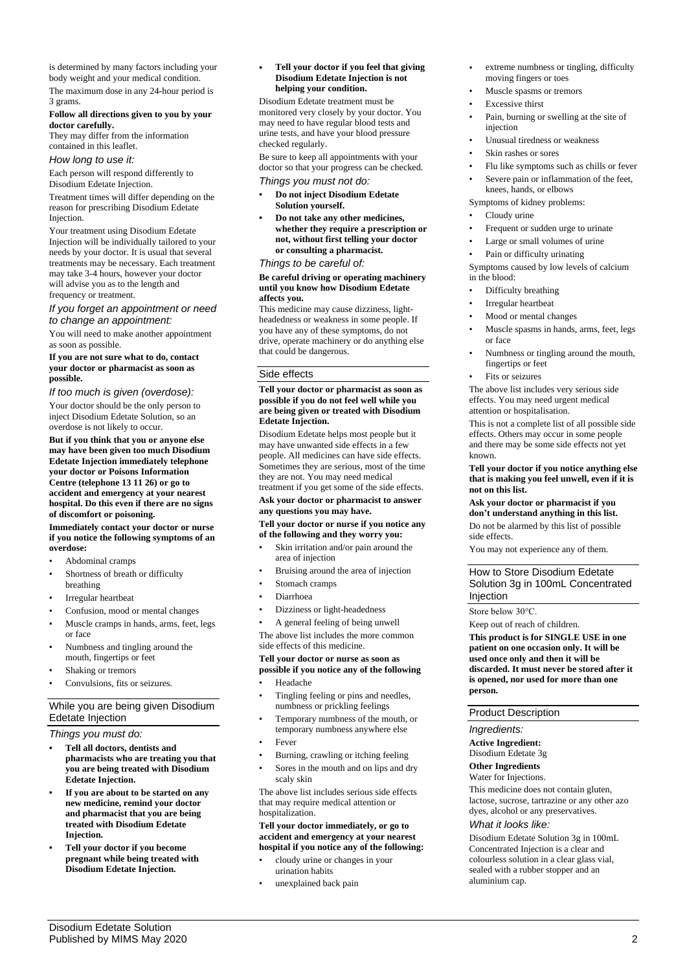is determined by many factors including your body weight and your medical condition.

The maximum dose in any 24-hour period is 3 grams.

### **Follow all directions given to you by your doctor carefully.**

They may differ from the information contained in this leaflet.

### *How long to use it:*

Each person will respond differently to Disodium Edetate Injection.

Treatment times will differ depending on the reason for prescribing Disodium Edetate Injection.

Your treatment using Disodium Edetate Injection will be individually tailored to your needs by your doctor. It is usual that several treatments may be necessary. Each treatment may take 3-4 hours, however your doctor will advise you as to the length and frequency or treatment.

### *If you forget an appointment or need to change an appointment:*

You will need to make another appointment as soon as possible.

### **If you are not sure what to do, contact your doctor or pharmacist as soon as possible.**

*If too much is given (overdose):*

Your doctor should be the only person to inject Disodium Edetate Solution, so an overdose is not likely to occur.

**But if you think that you or anyone else may have been given too much Disodium Edetate Injection immediately telephone your doctor or Poisons Information Centre (telephone 13 11 26) or go to accident and emergency at your nearest hospital. Do this even if there are no signs of discomfort or poisoning.**

### **Immediately contact your doctor or nurse if you notice the following symptoms of an overdose:**

- Abdominal cramps
- Shortness of breath or difficulty breathing
- Irregular heartbeat
- Confusion, mood or mental changes
- Muscle cramps in hands, arms, feet, legs or face
- Numbness and tingling around the mouth, fingertips or feet
- Shaking or tremors
- Convulsions, fits or seizures.

# While you are being given Disodium Edetate Injection

*Things you must do:*

- **• Tell all doctors, dentists and pharmacists who are treating you that you are being treated with Disodium Edetate Injection.**
- **• If you are about to be started on any new medicine, remind your doctor and pharmacist that you are being treated with Disodium Edetate Injection.**
- **• Tell your doctor if you become pregnant while being treated with Disodium Edetate Injection.**

### **• Tell your doctor if you feel that giving Disodium Edetate Injection is not helping your condition.**

Disodium Edetate treatment must be monitored very closely by your doctor. You may need to have regular blood tests and urine tests, and have your blood pressure checked regularly.

Be sure to keep all appointments with your doctor so that your progress can be checked.

# *Things you must not do:*

- **• Do not inject Disodium Edetate Solution yourself.**
- **• Do not take any other medicines, whether they require a prescription or not, without first telling your doctor or consulting a pharmacist.**

# *Things to be careful of:*

### **Be careful driving or operating machinery until you know how Disodium Edetate affects you.**

This medicine may cause dizziness, lightheadedness or weakness in some people. If you have any of these symptoms, do not drive, operate machinery or do anything else that could be dangerous.

### Side effects

### **Tell your doctor or pharmacist as soon as possible if you do not feel well while you are being given or treated with Disodium Edetate Injection.**

Disodium Edetate helps most people but it may have unwanted side effects in a few people. All medicines can have side effects. Sometimes they are serious, most of the time they are not. You may need medical treatment if you get some of the side effects.

**Ask your doctor or pharmacist to answer any questions you may have.**

### **Tell your doctor or nurse if you notice any of the following and they worry you:**

- Skin irritation and/or pain around the area of injection
- Bruising around the area of injection
- Stomach cramps
- Diarrhoea
- Dizziness or light-headedness

• A general feeling of being unwell The above list includes the more common side effects of this medicine.

# **Tell your doctor or nurse as soon as**

### **possible if you notice any of the following** • Headache

- Tingling feeling or pins and needles, numbness or prickling feelings
- Temporary numbness of the mouth, or temporary numbness anywhere else
- Fever
- Burning, crawling or itching feeling
- Sores in the mouth and on lips and dry scaly skin

The above list includes serious side effects that may require medical attention or hospitalization.

### **Tell your doctor immediately, or go to accident and emergency at your nearest hospital if you notice any of the following:**

- cloudy urine or changes in your urination habits
- unexplained back pain
- extreme numbness or tingling, difficulty moving fingers or toes
- Muscle spasms or tremors
- Excessive thirst
- Pain, burning or swelling at the site of injection
- Unusual tiredness or weakness
- Skin rashes or sores
- Flu like symptoms such as chills or fever Severe pain or inflammation of the feet,
- knees, hands, or elbows Symptoms of kidney problems:
- Cloudy urine
- Frequent or sudden urge to urinate
- Large or small volumes of urine
- Pain or difficulty urinating

### Symptoms caused by low levels of calcium in the blood:

- Difficulty breathing
- Irregular heartbeat
- Mood or mental changes
- Muscle spasms in hands, arms, feet, legs or face
- Numbness or tingling around the mouth, fingertips or feet
- Fits or seizures

The above list includes very serious side effects. You may need urgent medical attention or hospitalisation.

This is not a complete list of all possible side effects. Others may occur in some people and there may be some side effects not yet known.

### **Tell your doctor if you notice anything else that is making you feel unwell, even if it is not on this list.**

## **Ask your doctor or pharmacist if you don't understand anything in this list.**

Do not be alarmed by this list of possible side effects.

You may not experience any of them.

### How to Store Disodium Edetate Solution 3g in 100mL Concentrated **Injection**

Store below 30°C.

Keep out of reach of children.

**This product is for SINGLE USE in one patient on one occasion only. It will be used once only and then it will be discarded. It must never be stored after it is opened, nor used for more than one person.**

### Product Description

### *Ingredients:*

**Active Ingredient:** Disodium Edetate 3g

# **Other Ingredients**

Water for Injections.

This medicine does not contain gluten, lactose, sucrose, tartrazine or any other azo dyes, alcohol or any preservatives.

### *What it looks like:*

Disodium Edetate Solution 3g in 100mL Concentrated Injection is a clear and colourless solution in a clear glass vial, sealed with a rubber stopper and an aluminium cap.